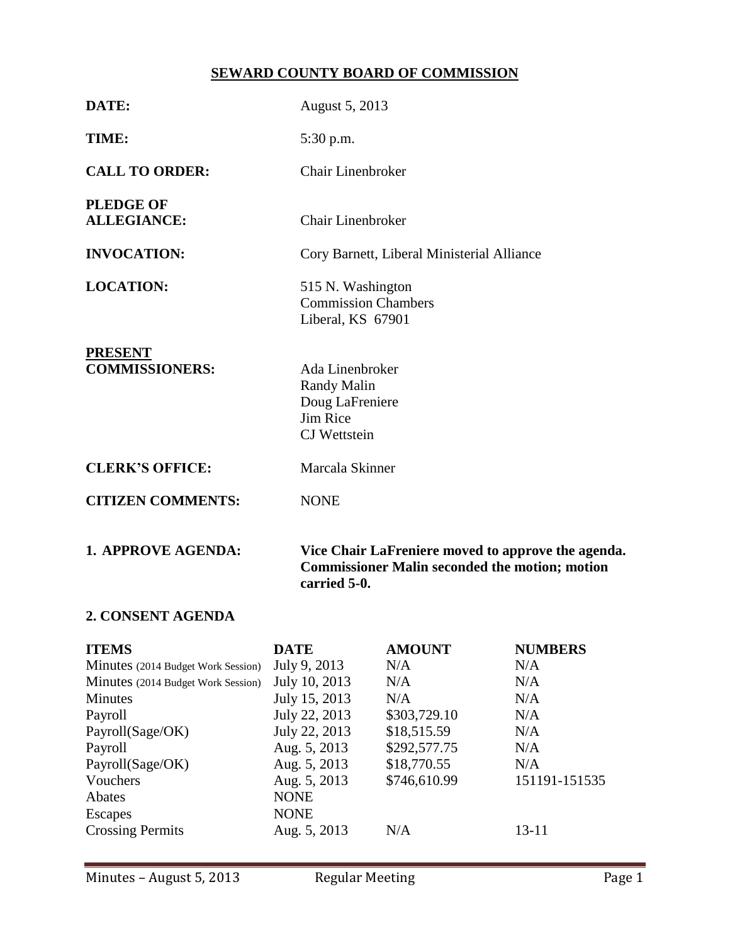# **SEWARD COUNTY BOARD OF COMMISSION**

| DATE:                                   | August 5, 2013                                                                                                              |
|-----------------------------------------|-----------------------------------------------------------------------------------------------------------------------------|
| TIME:                                   | $5:30$ p.m.                                                                                                                 |
| <b>CALL TO ORDER:</b>                   | <b>Chair Linenbroker</b>                                                                                                    |
| <b>PLEDGE OF</b><br><b>ALLEGIANCE:</b>  | <b>Chair Linenbroker</b>                                                                                                    |
| <b>INVOCATION:</b>                      | Cory Barnett, Liberal Ministerial Alliance                                                                                  |
| <b>LOCATION:</b>                        | 515 N. Washington<br><b>Commission Chambers</b><br>Liberal, KS 67901                                                        |
| <b>PRESENT</b><br><b>COMMISSIONERS:</b> | Ada Linenbroker<br>Randy Malin<br>Doug LaFreniere<br>Jim Rice<br><b>CJ</b> Wettstein                                        |
| <b>CLERK'S OFFICE:</b>                  | Marcala Skinner                                                                                                             |
| <b>CITIZEN COMMENTS:</b>                | <b>NONE</b>                                                                                                                 |
| <b>1. APPROVE AGENDA:</b>               | Vice Chair LaFreniere moved to approve the agenda.<br><b>Commissioner Malin seconded the motion; motion</b><br>carried 5-0. |

## **2. CONSENT AGENDA**

| <b>ITEMS</b>                       | <b>DATE</b>   | <b>AMOUNT</b> | <b>NUMBERS</b> |
|------------------------------------|---------------|---------------|----------------|
| Minutes (2014 Budget Work Session) | July 9, 2013  | N/A           | N/A            |
| Minutes (2014 Budget Work Session) | July 10, 2013 | N/A           | N/A            |
| <b>Minutes</b>                     | July 15, 2013 | N/A           | N/A            |
| Payroll                            | July 22, 2013 | \$303,729.10  | N/A            |
| Payroll(Sage/OK)                   | July 22, 2013 | \$18,515.59   | N/A            |
| Payroll                            | Aug. 5, 2013  | \$292,577.75  | N/A            |
| Payroll(Sage/OK)                   | Aug. 5, 2013  | \$18,770.55   | N/A            |
| Vouchers                           | Aug. 5, 2013  | \$746,610.99  | 151191-151535  |
| Abates                             | <b>NONE</b>   |               |                |
| Escapes                            | <b>NONE</b>   |               |                |
| <b>Crossing Permits</b>            | Aug. 5, 2013  | N/A           | 13-11          |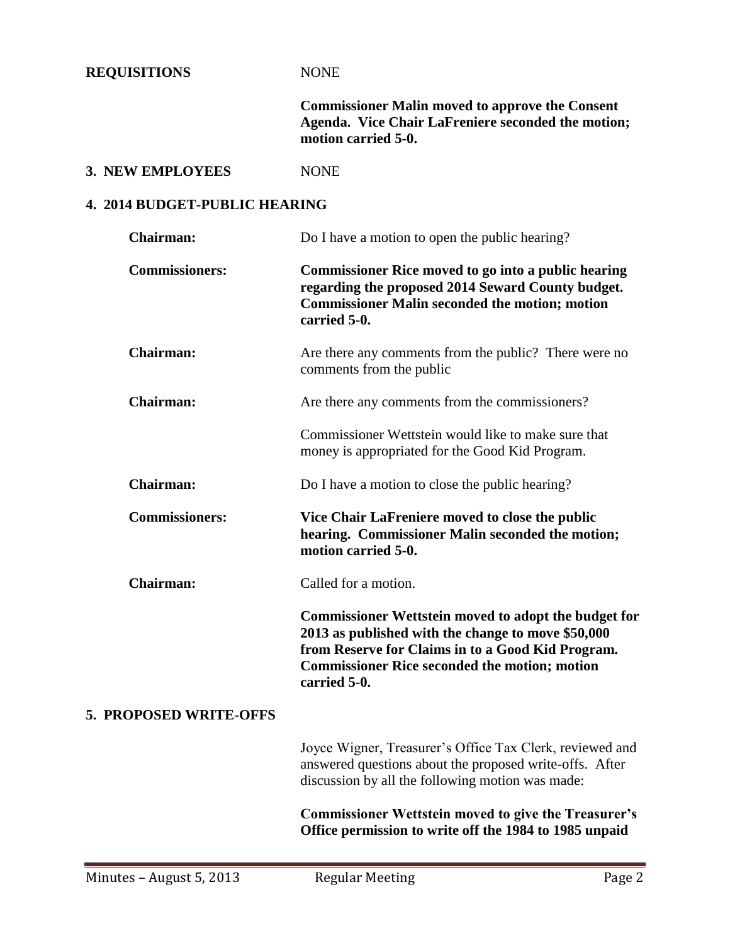**REQUISITIONS** NONE

**Commissioner Malin moved to approve the Consent Agenda. Vice Chair LaFreniere seconded the motion; motion carried 5-0.**

#### **3. NEW EMPLOYEES** NONE

## **4. 2014 BUDGET-PUBLIC HEARING**

| Chairman:              | Do I have a motion to open the public hearing?                                                                                                                                                                                                 |  |
|------------------------|------------------------------------------------------------------------------------------------------------------------------------------------------------------------------------------------------------------------------------------------|--|
| <b>Commissioners:</b>  | <b>Commissioner Rice moved to go into a public hearing</b><br>regarding the proposed 2014 Seward County budget.<br><b>Commissioner Malin seconded the motion; motion</b><br>carried 5-0.                                                       |  |
| <b>Chairman:</b>       | Are there any comments from the public? There were no<br>comments from the public                                                                                                                                                              |  |
| <b>Chairman:</b>       | Are there any comments from the commissioners?                                                                                                                                                                                                 |  |
|                        | Commissioner Wettstein would like to make sure that<br>money is appropriated for the Good Kid Program.                                                                                                                                         |  |
| <b>Chairman:</b>       | Do I have a motion to close the public hearing?                                                                                                                                                                                                |  |
| <b>Commissioners:</b>  | Vice Chair LaFreniere moved to close the public<br>hearing. Commissioner Malin seconded the motion;<br>motion carried 5-0.                                                                                                                     |  |
| <b>Chairman:</b>       | Called for a motion.                                                                                                                                                                                                                           |  |
|                        | <b>Commissioner Wettstein moved to adopt the budget for</b><br>2013 as published with the change to move \$50,000<br>from Reserve for Claims in to a Good Kid Program.<br><b>Commissioner Rice seconded the motion; motion</b><br>carried 5-0. |  |
| 5. PROPOSED WRITE-OFFS |                                                                                                                                                                                                                                                |  |
|                        | Joyce Wigner, Treasurer's Office Tax Clerk, reviewed and<br>answered questions about the proposed write-offs. After<br>discussion by all the following motion was made:                                                                        |  |
|                        | <b>Commissioner Wettstein moved to give the Treasurer's</b><br>Office permission to write off the 1984 to 1985 unpaid                                                                                                                          |  |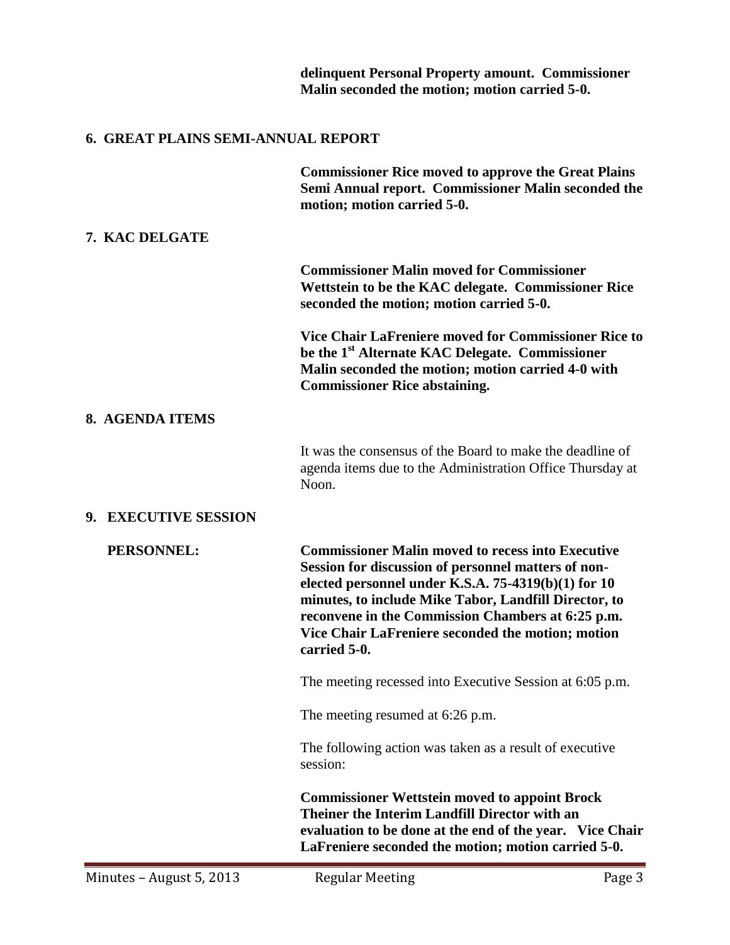|                                           | delinquent Personal Property amount. Commissioner<br>Malin seconded the motion; motion carried 5-0.                                                                                                                                                                                                                                                         |
|-------------------------------------------|-------------------------------------------------------------------------------------------------------------------------------------------------------------------------------------------------------------------------------------------------------------------------------------------------------------------------------------------------------------|
| <b>6. GREAT PLAINS SEMI-ANNUAL REPORT</b> |                                                                                                                                                                                                                                                                                                                                                             |
|                                           | <b>Commissioner Rice moved to approve the Great Plains</b><br>Semi Annual report. Commissioner Malin seconded the<br>motion; motion carried 5-0.                                                                                                                                                                                                            |
| 7. KAC DELGATE                            |                                                                                                                                                                                                                                                                                                                                                             |
|                                           | <b>Commissioner Malin moved for Commissioner</b><br>Wettstein to be the KAC delegate. Commissioner Rice<br>seconded the motion; motion carried 5-0.                                                                                                                                                                                                         |
|                                           | Vice Chair LaFreniere moved for Commissioner Rice to<br>be the 1 <sup>st</sup> Alternate KAC Delegate. Commissioner<br>Malin seconded the motion; motion carried 4-0 with<br><b>Commissioner Rice abstaining.</b>                                                                                                                                           |
| 8. AGENDA ITEMS                           |                                                                                                                                                                                                                                                                                                                                                             |
|                                           | It was the consensus of the Board to make the deadline of<br>agenda items due to the Administration Office Thursday at<br>Noon.                                                                                                                                                                                                                             |
| 9. EXECUTIVE SESSION                      |                                                                                                                                                                                                                                                                                                                                                             |
| PERSONNEL:                                | <b>Commissioner Malin moved to recess into Executive</b><br>Session for discussion of personnel matters of non-<br>elected personnel under K.S.A. $75-4319(b)(1)$ for 10<br>minutes, to include Mike Tabor, Landfill Director, to<br>reconvene in the Commission Chambers at 6:25 p.m.<br>Vice Chair LaFreniere seconded the motion; motion<br>carried 5-0. |
|                                           | The meeting recessed into Executive Session at 6:05 p.m.                                                                                                                                                                                                                                                                                                    |
|                                           | The meeting resumed at 6:26 p.m.                                                                                                                                                                                                                                                                                                                            |
|                                           | The following action was taken as a result of executive<br>session:                                                                                                                                                                                                                                                                                         |
|                                           | <b>Commissioner Wettstein moved to appoint Brock</b><br>Theiner the Interim Landfill Director with an<br>evaluation to be done at the end of the year. Vice Chair<br>LaFreniere seconded the motion; motion carried 5-0.                                                                                                                                    |